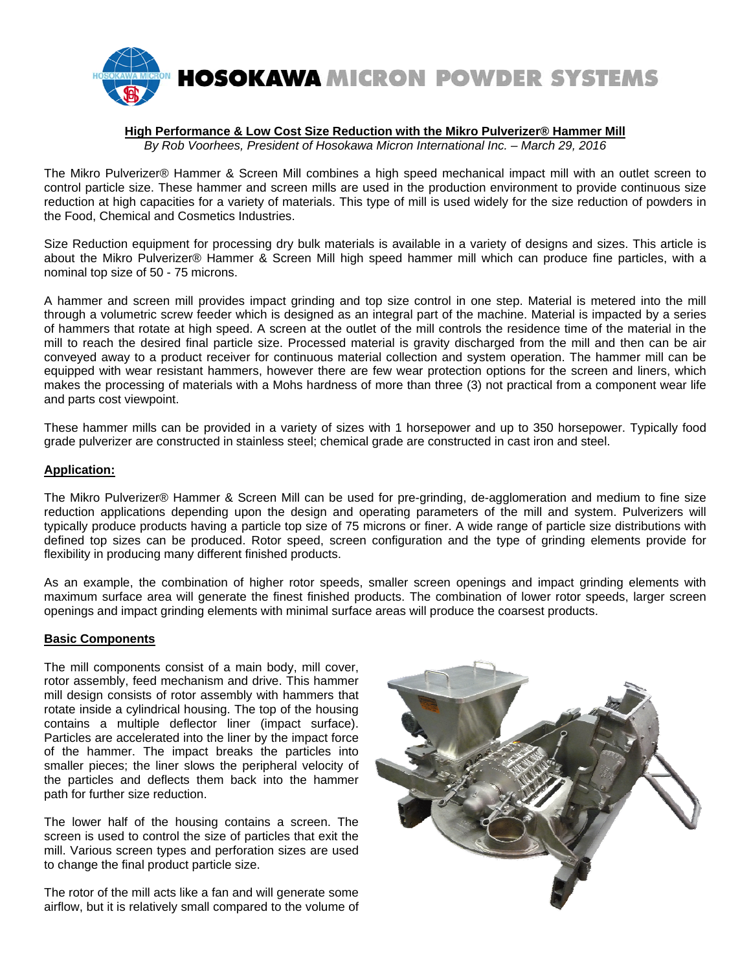

#### **High Performance & Low Cost Size Reduction with the Mikro Pulverizer® Hammer Mill**  *By Rob Voorhees, President of Hosokawa Micron International Inc. – March 29, 2016*

The Mikro Pulverizer® Hammer & Screen Mill combines a high speed mechanical impact mill with an outlet screen to control particle size. These hammer and screen mills are used in the production environment to provide continuous size reduction at high capacities for a variety of materials. This type of mill is used widely for the size reduction of powders in the Food, Chemical and Cosmetics Industries.

Size Reduction equipment for processing dry bulk materials is available in a variety of designs and sizes. This article is about the Mikro Pulverizer® Hammer & Screen Mill high speed hammer mill which can produce fine particles, with a nominal top size of 50 - 75 microns.

A hammer and screen mill provides impact grinding and top size control in one step. Material is metered into the mill through a volumetric screw feeder which is designed as an integral part of the machine. Material is impacted by a series of hammers that rotate at high speed. A screen at the outlet of the mill controls the residence time of the material in the mill to reach the desired final particle size. Processed material is gravity discharged from the mill and then can be air conveyed away to a product receiver for continuous material collection and system operation. The hammer mill can be equipped with wear resistant hammers, however there are few wear protection options for the screen and liners, which makes the processing of materials with a Mohs hardness of more than three (3) not practical from a component wear life and parts cost viewpoint.

These hammer mills can be provided in a variety of sizes with 1 horsepower and up to 350 horsepower. Typically food grade pulverizer are constructed in stainless steel; chemical grade are constructed in cast iron and steel.

### **Application:**

The Mikro Pulverizer® Hammer & Screen Mill can be used for pre-grinding, de-agglomeration and medium to fine size reduction applications depending upon the design and operating parameters of the mill and system. Pulverizers will typically produce products having a particle top size of 75 microns or finer. A wide range of particle size distributions with defined top sizes can be produced. Rotor speed, screen configuration and the type of grinding elements provide for flexibility in producing many different finished products.

As an example, the combination of higher rotor speeds, smaller screen openings and impact grinding elements with maximum surface area will generate the finest finished products. The combination of lower rotor speeds, larger screen openings and impact grinding elements with minimal surface areas will produce the coarsest products.

### **Basic Components**

The mill components consist of a main body, mill cover, rotor assembly, feed mechanism and drive. This hammer mill design consists of rotor assembly with hammers that rotate inside a cylindrical housing. The top of the housing contains a multiple deflector liner (impact surface). Particles are accelerated into the liner by the impact force of the hammer. The impact breaks the particles into smaller pieces; the liner slows the peripheral velocity of the particles and deflects them back into the hammer path for further size reduction.

The lower half of the housing contains a screen. The screen is used to control the size of particles that exit the mill. Various screen types and perforation sizes are used to change the final product particle size.

The rotor of the mill acts like a fan and will generate some airflow, but it is relatively small compared to the volume of

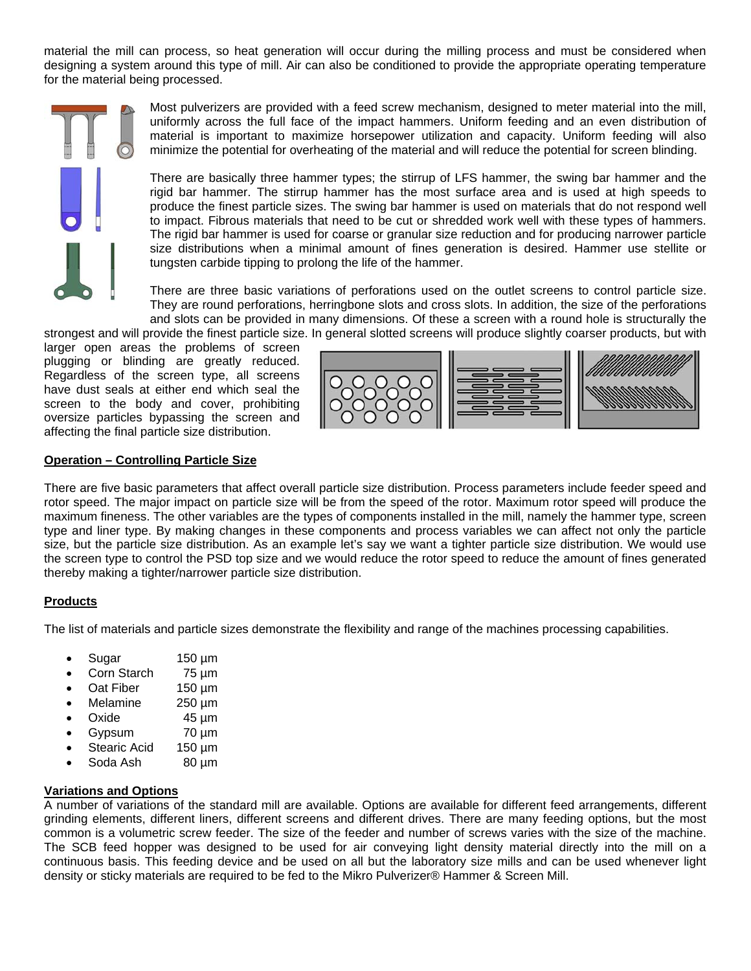material the mill can process, so heat generation will occur during the milling process and must be considered when designing a system around this type of mill. Air can also be conditioned to provide the appropriate operating temperature for the material being processed.

Most pulverizers are provided with a feed screw mechanism, designed to meter material into the mill, uniformly across the full face of the impact hammers. Uniform feeding and an even distribution of material is important to maximize horsepower utilization and capacity. Uniform feeding will also minimize the potential for overheating of the material and will reduce the potential for screen blinding.

There are basically three hammer types; the stirrup of LFS hammer, the swing bar hammer and the rigid bar hammer. The stirrup hammer has the most surface area and is used at high speeds to produce the finest particle sizes. The swing bar hammer is used on materials that do not respond well to impact. Fibrous materials that need to be cut or shredded work well with these types of hammers. The rigid bar hammer is used for coarse or granular size reduction and for producing narrower particle size distributions when a minimal amount of fines generation is desired. Hammer use stellite or tungsten carbide tipping to prolong the life of the hammer.

There are three basic variations of perforations used on the outlet screens to control particle size. They are round perforations, herringbone slots and cross slots. In addition, the size of the perforations and slots can be provided in many dimensions. Of these a screen with a round hole is structurally the strongest and will provide the finest particle size. In general slotted screens will produce slightly coarser products, but with

larger open areas the problems of screen plugging or blinding are greatly reduced. Regardless of the screen type, all screens have dust seals at either end which seal the screen to the body and cover, prohibiting oversize particles bypassing the screen and affecting the final particle size distribution.



### **Operation – Controlling Particle Size**

There are five basic parameters that affect overall particle size distribution. Process parameters include feeder speed and rotor speed. The major impact on particle size will be from the speed of the rotor. Maximum rotor speed will produce the maximum fineness. The other variables are the types of components installed in the mill, namely the hammer type, screen type and liner type. By making changes in these components and process variables we can affect not only the particle size, but the particle size distribution. As an example let's say we want a tighter particle size distribution. We would use the screen type to control the PSD top size and we would reduce the rotor speed to reduce the amount of fines generated thereby making a tighter/narrower particle size distribution.

# **Products**

The list of materials and particle sizes demonstrate the flexibility and range of the machines processing capabilities.

- Sugar 150 µm
- Corn Starch 75 µm
- Oat Fiber 150 µm
- Melamine 250 µm
- Oxide 45 µm
- Gypsum 70 µm
- Stearic Acid 150 µm
- Soda Ash 80 µm

### **Variations and Options**

A number of variations of the standard mill are available. Options are available for different feed arrangements, different grinding elements, different liners, different screens and different drives. There are many feeding options, but the most common is a volumetric screw feeder. The size of the feeder and number of screws varies with the size of the machine. The SCB feed hopper was designed to be used for air conveying light density material directly into the mill on a continuous basis. This feeding device and be used on all but the laboratory size mills and can be used whenever light density or sticky materials are required to be fed to the Mikro Pulverizer® Hammer & Screen Mill.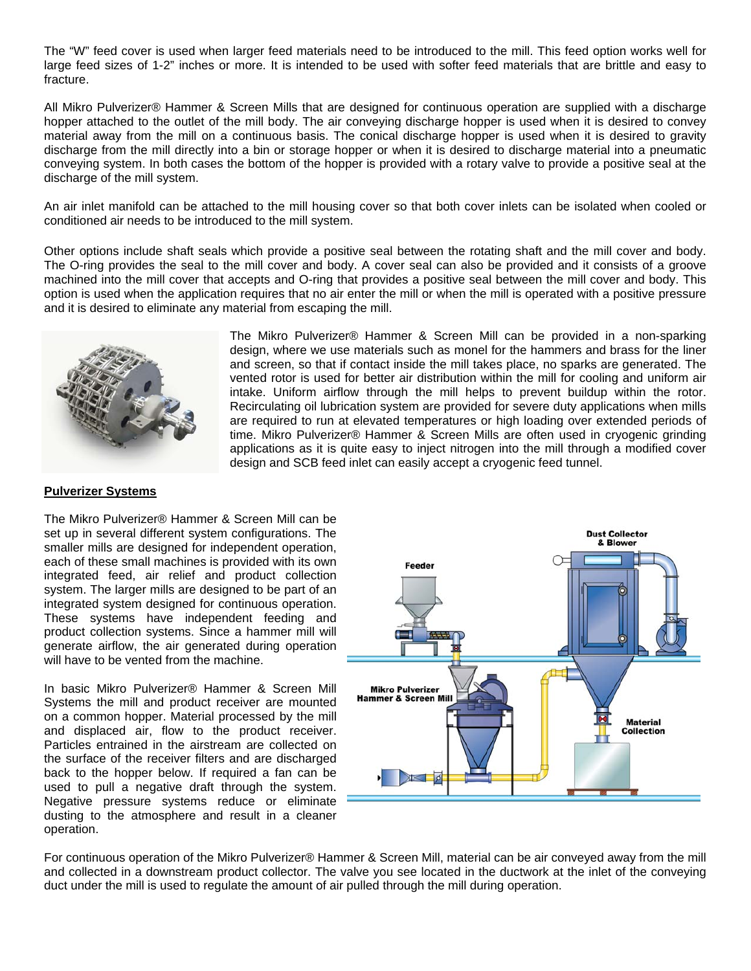The "W" feed cover is used when larger feed materials need to be introduced to the mill. This feed option works well for large feed sizes of 1-2" inches or more. It is intended to be used with softer feed materials that are brittle and easy to fracture.

All Mikro Pulverizer® Hammer & Screen Mills that are designed for continuous operation are supplied with a discharge hopper attached to the outlet of the mill body. The air conveying discharge hopper is used when it is desired to convey material away from the mill on a continuous basis. The conical discharge hopper is used when it is desired to gravity discharge from the mill directly into a bin or storage hopper or when it is desired to discharge material into a pneumatic conveying system. In both cases the bottom of the hopper is provided with a rotary valve to provide a positive seal at the discharge of the mill system.

An air inlet manifold can be attached to the mill housing cover so that both cover inlets can be isolated when cooled or conditioned air needs to be introduced to the mill system.

Other options include shaft seals which provide a positive seal between the rotating shaft and the mill cover and body. The O-ring provides the seal to the mill cover and body. A cover seal can also be provided and it consists of a groove machined into the mill cover that accepts and O-ring that provides a positive seal between the mill cover and body. This option is used when the application requires that no air enter the mill or when the mill is operated with a positive pressure and it is desired to eliminate any material from escaping the mill.



The Mikro Pulverizer® Hammer & Screen Mill can be provided in a non-sparking design, where we use materials such as monel for the hammers and brass for the liner and screen, so that if contact inside the mill takes place, no sparks are generated. The vented rotor is used for better air distribution within the mill for cooling and uniform air intake. Uniform airflow through the mill helps to prevent buildup within the rotor. Recirculating oil lubrication system are provided for severe duty applications when mills are required to run at elevated temperatures or high loading over extended periods of time. Mikro Pulverizer® Hammer & Screen Mills are often used in cryogenic grinding applications as it is quite easy to inject nitrogen into the mill through a modified cover design and SCB feed inlet can easily accept a cryogenic feed tunnel.

#### **Pulverizer Systems**

The Mikro Pulverizer® Hammer & Screen Mill can be set up in several different system configurations. The smaller mills are designed for independent operation, each of these small machines is provided with its own integrated feed, air relief and product collection system. The larger mills are designed to be part of an integrated system designed for continuous operation. These systems have independent feeding and product collection systems. Since a hammer mill will generate airflow, the air generated during operation will have to be vented from the machine.

In basic Mikro Pulverizer® Hammer & Screen Mill Systems the mill and product receiver are mounted on a common hopper. Material processed by the mill and displaced air, flow to the product receiver. Particles entrained in the airstream are collected on the surface of the receiver filters and are discharged back to the hopper below. If required a fan can be used to pull a negative draft through the system. Negative pressure systems reduce or eliminate dusting to the atmosphere and result in a cleaner operation.



For continuous operation of the Mikro Pulverizer® Hammer & Screen Mill, material can be air conveyed away from the mill and collected in a downstream product collector. The valve you see located in the ductwork at the inlet of the conveying duct under the mill is used to regulate the amount of air pulled through the mill during operation.